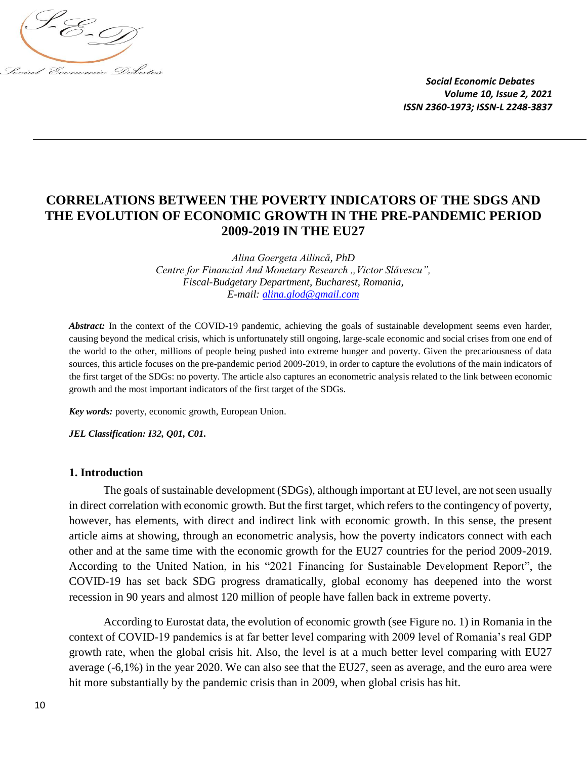

# **CORRELATIONS BETWEEN THE POVERTY INDICATORS OF THE SDGS AND THE EVOLUTION OF ECONOMIC GROWTH IN THE PRE-PANDEMIC PERIOD 2009-2019 IN THE EU27**

*Alina Goergeta Ailincă, PhD Centre for Financial And Monetary Research "Victor Slăvescu", Fiscal-Budgetary Department, Bucharest, Romania, E-mail: [alina.glod@gmail.com](mailto:alina.glod@gmail.com)*

*Abstract:* In the context of the COVID-19 pandemic, achieving the goals of sustainable development seems even harder, causing beyond the medical crisis, which is unfortunately still ongoing, large-scale economic and social crises from one end of the world to the other, millions of people being pushed into extreme hunger and poverty. Given the precariousness of data sources, this article focuses on the pre-pandemic period 2009-2019, in order to capture the evolutions of the main indicators of the first target of the SDGs: no poverty. The article also captures an econometric analysis related to the link between economic growth and the most important indicators of the first target of the SDGs.

*Key words:* poverty, economic growth, European Union.

*JEL Classification: I32, Q01, C01.*

#### **1. Introduction**

The goals of sustainable development (SDGs), although important at EU level, are not seen usually in direct correlation with economic growth. But the first target, which refers to the contingency of poverty, however, has elements, with direct and indirect link with economic growth. In this sense, the present article aims at showing, through an econometric analysis, how the poverty indicators connect with each other and at the same time with the economic growth for the EU27 countries for the period 2009-2019. According to the United Nation, in his "2021 Financing for Sustainable Development Report", the COVID-19 has set back SDG progress dramatically, global economy has deepened into the worst recession in 90 years and almost 120 million of people have fallen back in extreme poverty.

According to Eurostat data, the evolution of economic growth (see Figure no. 1) in Romania in the context of COVID-19 pandemics is at far better level comparing with 2009 level of Romania's real GDP growth rate, when the global crisis hit. Also, the level is at a much better level comparing with EU27 average (-6,1%) in the year 2020. We can also see that the EU27, seen as average, and the euro area were hit more substantially by the pandemic crisis than in 2009, when global crisis has hit.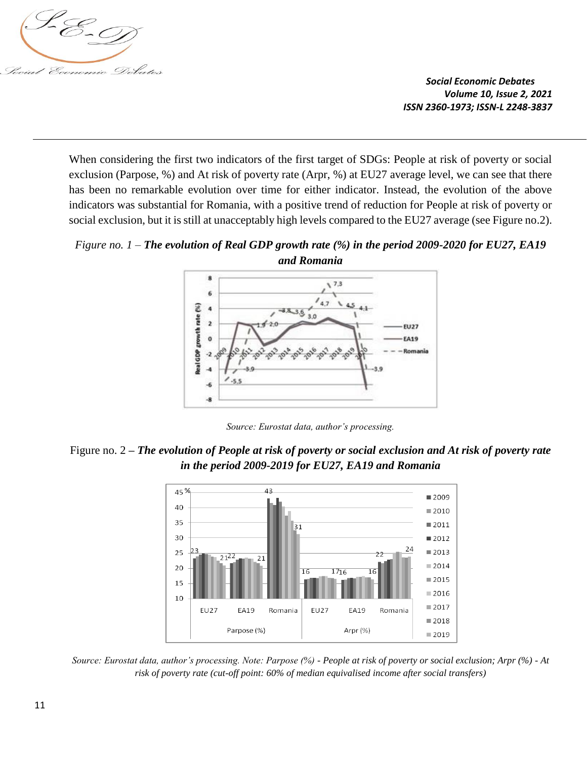

When considering the first two indicators of the first target of SDGs: People at risk of poverty or social exclusion (Parpose, %) and At risk of poverty rate (Arpr, %) at EU27 average level, we can see that there has been no remarkable evolution over time for either indicator. Instead, the evolution of the above indicators was substantial for Romania, with a positive trend of reduction for People at risk of poverty or social exclusion, but it is still at unacceptably high levels compared to the EU27 average (see Figure no.2).

*Figure no. 1 – The evolution of Real GDP growth rate (%) in the period 2009-2020 for EU27, EA19 and Romania*



*Source: Eurostat data, author's processing.*

Figure no. 2 **–** *The evolution of People at risk of poverty or social exclusion and At risk of poverty rate in the period 2009-2019 for EU27, EA19 and Romania*



*Source: Eurostat data, author's processing. Note: Parpose (%) - People at risk of poverty or social exclusion; Arpr (%) - At risk of poverty rate (cut-off point: 60% of median equivalised income after social transfers)*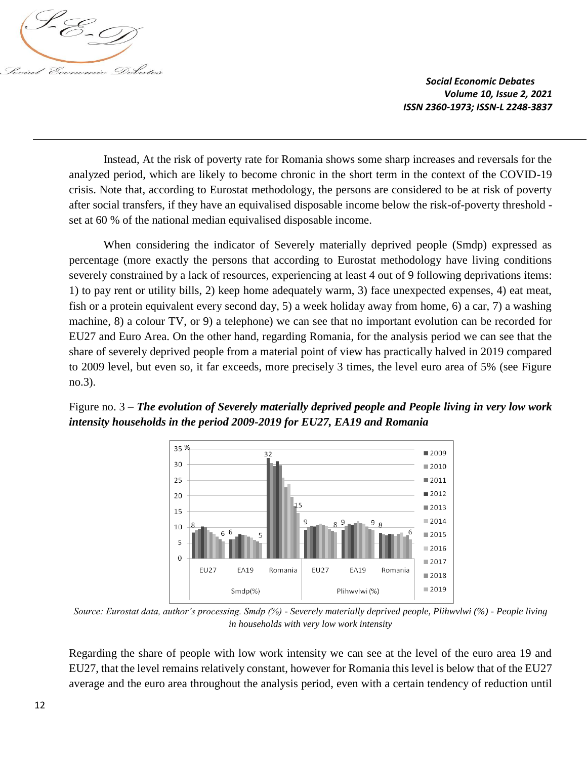

Instead, At the risk of poverty rate for Romania shows some sharp increases and reversals for the analyzed period, which are likely to become chronic in the short term in the context of the COVID-19 crisis. Note that, according to Eurostat methodology, the persons are considered to be at risk of poverty after social transfers, if they have an equivalised disposable income below the risk-of-poverty threshold set at 60 % of the national median equivalised disposable income.

When considering the indicator of Severely materially deprived people (Smdp) expressed as percentage (more exactly the persons that according to Eurostat methodology have living conditions severely constrained by a lack of resources, experiencing at least 4 out of 9 following deprivations items: 1) to pay rent or utility bills, 2) keep home adequately warm, 3) face unexpected expenses, 4) eat meat, fish or a protein equivalent every second day, 5) a week holiday away from home, 6) a car, 7) a washing machine, 8) a colour TV, or 9) a telephone) we can see that no important evolution can be recorded for EU27 and Euro Area. On the other hand, regarding Romania, for the analysis period we can see that the share of severely deprived people from a material point of view has practically halved in 2019 compared to 2009 level, but even so, it far exceeds, more precisely 3 times, the level euro area of 5% (see Figure no.3).

Figure no. 3 – *The evolution of Severely materially deprived people and People living in very low work intensity households in the period 2009-2019 for EU27, EA19 and Romania*



*Source: Eurostat data, author's processing. Smdp (%) - Severely materially deprived people, Plihwvlwi (%) - People living in households with very low work intensity*

Regarding the share of people with low work intensity we can see at the level of the euro area 19 and EU27, that the level remains relatively constant, however for Romania this level is below that of the EU27 average and the euro area throughout the analysis period, even with a certain tendency of reduction until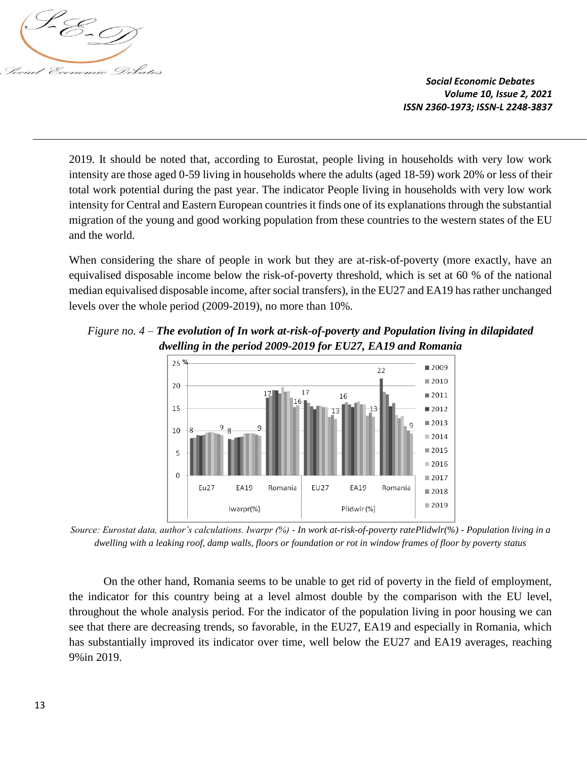

2019. It should be noted that, according to Eurostat, people living in households with very low work intensity are those aged 0-59 living in households where the adults (aged 18-59) work 20% or less of their total work potential during the past year. The indicator People living in households with very low work intensity for Central and Eastern European countries it finds one of its explanations through the substantial migration of the young and good working population from these countries to the western states of the EU and the world.

When considering the share of people in work but they are at-risk-of-poverty (more exactly, have an equivalised disposable income below the risk-of-poverty threshold, which is set at 60 % of the national median equivalised disposable income, after social transfers), in the EU27 and EA19 has rather unchanged levels over the whole period (2009-2019), no more than 10%.

*Figure no. 4 – The evolution of In work at-risk-of-poverty and Population living in dilapidated dwelling in the period 2009-2019 for EU27, EA19 and Romania*



*Source: Eurostat data, author's calculations. Iwarpr (%) - In work at-risk-of-poverty ratePlidwlr(%) - Population living in a dwelling with a leaking roof, damp walls, floors or foundation or rot in window frames of floor by poverty status* 

On the other hand, Romania seems to be unable to get rid of poverty in the field of employment, the indicator for this country being at a level almost double by the comparison with the EU level, throughout the whole analysis period. For the indicator of the population living in poor housing we can see that there are decreasing trends, so favorable, in the EU27, EA19 and especially in Romania, which has substantially improved its indicator over time, well below the EU27 and EA19 averages, reaching 9%in 2019.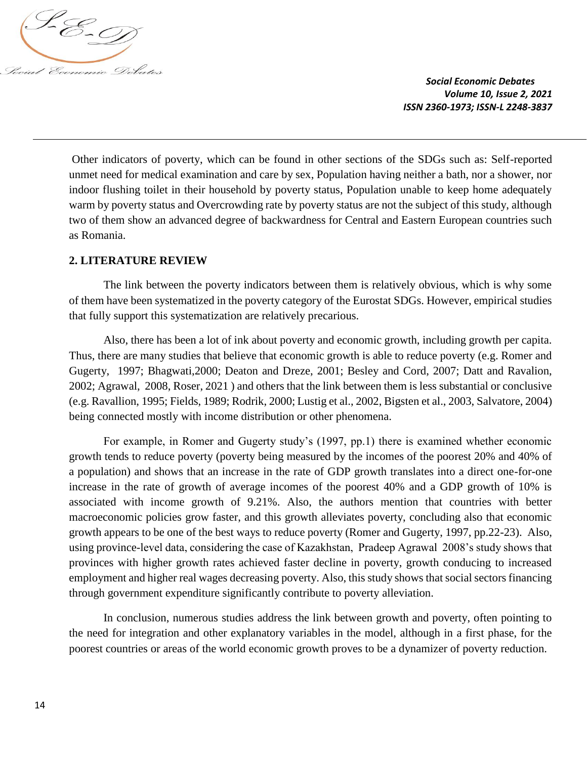

Other indicators of poverty, which can be found in other sections of the SDGs such as: Self-reported unmet need for medical examination and care by sex, Population having neither a bath, nor a shower, nor indoor flushing toilet in their household by poverty status, Population unable to keep home adequately warm by poverty status and Overcrowding rate by poverty status are not the subject of this study, although two of them show an advanced degree of backwardness for Central and Eastern European countries such as Romania.

### **2. LITERATURE REVIEW**

The link between the poverty indicators between them is relatively obvious, which is why some of them have been systematized in the poverty category of the Eurostat SDGs. However, empirical studies that fully support this systematization are relatively precarious.

Also, there has been a lot of ink about poverty and economic growth, including growth per capita. Thus, there are many studies that believe that economic growth is able to reduce poverty (e.g. Romer and Gugerty, 1997; Bhagwati,2000; Deaton and Dreze, 2001; Besley and Cord, 2007; Datt and Ravalion, 2002; Agrawal, 2008, Roser, 2021 ) and others that the link between them is less substantial or conclusive (e.g. Ravallion, 1995; Fields, 1989; Rodrik, 2000; Lustig et al., 2002, Bigsten et al., 2003, Salvatore, 2004) being connected mostly with income distribution or other phenomena.

For example, in Romer and Gugerty study's (1997, pp.1) there is examined whether economic growth tends to reduce poverty (poverty being measured by the incomes of the poorest 20% and 40% of a population) and shows that an increase in the rate of GDP growth translates into a direct one-for-one increase in the rate of growth of average incomes of the poorest 40% and a GDP growth of 10% is associated with income growth of 9.21%. Also, the authors mention that countries with better macroeconomic policies grow faster, and this growth alleviates poverty, concluding also that economic growth appears to be one of the best ways to reduce poverty (Romer and Gugerty, 1997, pp.22-23). Also, using province-level data, considering the case of Kazakhstan, Pradeep Agrawal 2008's study shows that provinces with higher growth rates achieved faster decline in poverty, growth conducing to increased employment and higher real wages decreasing poverty. Also, this study shows that social sectors financing through government expenditure significantly contribute to poverty alleviation.

In conclusion, numerous studies address the link between growth and poverty, often pointing to the need for integration and other explanatory variables in the model, although in a first phase, for the poorest countries or areas of the world economic growth proves to be a dynamizer of poverty reduction.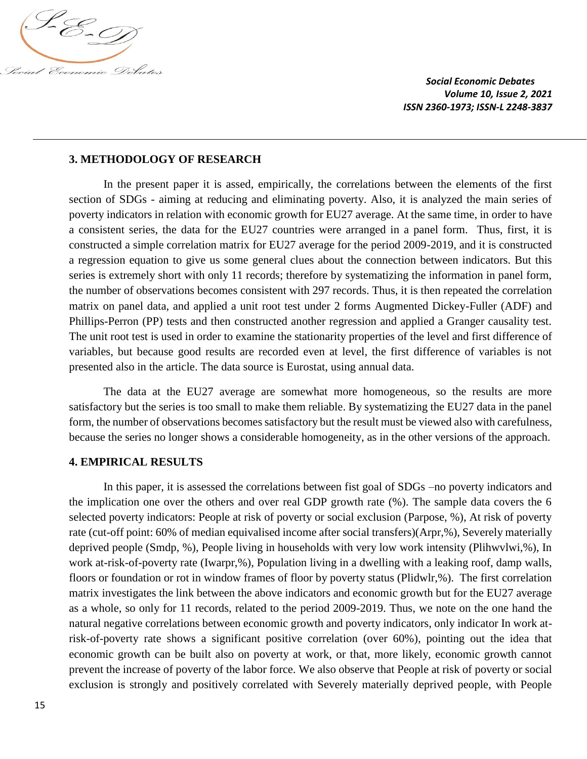

### **3. METHODOLOGY OF RESEARCH**

In the present paper it is assed, empirically, the correlations between the elements of the first section of SDGs - aiming at reducing and eliminating poverty. Also, it is analyzed the main series of poverty indicators in relation with economic growth for EU27 average. At the same time, in order to have a consistent series, the data for the EU27 countries were arranged in a panel form. Thus, first, it is constructed a simple correlation matrix for EU27 average for the period 2009-2019, and it is constructed a regression equation to give us some general clues about the connection between indicators. But this series is extremely short with only 11 records; therefore by systematizing the information in panel form, the number of observations becomes consistent with 297 records. Thus, it is then repeated the correlation matrix on panel data, and applied a unit root test under 2 forms Augmented Dickey-Fuller (ADF) and Phillips-Perron (PP) tests and then constructed another regression and applied a Granger causality test. The unit root test is used in order to examine the stationarity properties of the level and first difference of variables, but because good results are recorded even at level, the first difference of variables is not presented also in the article. The data source is Eurostat, using annual data.

The data at the EU27 average are somewhat more homogeneous, so the results are more satisfactory but the series is too small to make them reliable. By systematizing the EU27 data in the panel form, the number of observations becomes satisfactory but the result must be viewed also with carefulness, because the series no longer shows a considerable homogeneity, as in the other versions of the approach.

#### **4. EMPIRICAL RESULTS**

In this paper, it is assessed the correlations between fist goal of SDGs –no poverty indicators and the implication one over the others and over real GDP growth rate (%). The sample data covers the 6 selected poverty indicators: People at risk of poverty or social exclusion (Parpose, %), At risk of poverty rate (cut-off point: 60% of median equivalised income after social transfers)(Arpr,%), Severely materially deprived people (Smdp, %), People living in households with very low work intensity (Plihwvlwi,%), In work at-risk-of-poverty rate (Iwarpr,%), Population living in a dwelling with a leaking roof, damp walls, floors or foundation or rot in window frames of floor by poverty status (Plidwlr,%). The first correlation matrix investigates the link between the above indicators and economic growth but for the EU27 average as a whole, so only for 11 records, related to the period 2009-2019. Thus, we note on the one hand the natural negative correlations between economic growth and poverty indicators, only indicator In work atrisk-of-poverty rate shows a significant positive correlation (over 60%), pointing out the idea that economic growth can be built also on poverty at work, or that, more likely, economic growth cannot prevent the increase of poverty of the labor force. We also observe that People at risk of poverty or social exclusion is strongly and positively correlated with Severely materially deprived people, with People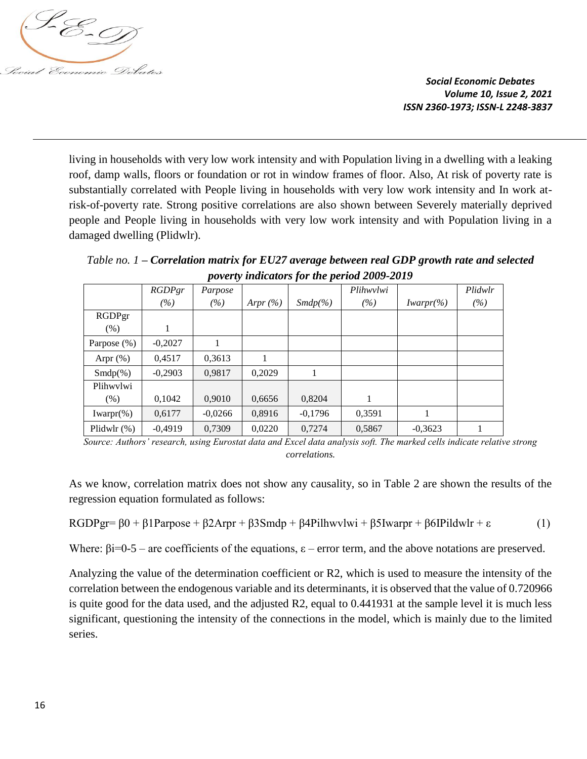

living in households with very low work intensity and with Population living in a dwelling with a leaking roof, damp walls, floors or foundation or rot in window frames of floor. Also, At risk of poverty rate is substantially correlated with People living in households with very low work intensity and In work atrisk-of-poverty rate. Strong positive correlations are also shown between Severely materially deprived people and People living in households with very low work intensity and with Population living in a damaged dwelling (Plidwlr).

*Table no. 1 – Correlation matrix for EU27 average between real GDP growth rate and selected poverty indicators for the period 2009-2019*

| $\mu$ , $\mu$ , $\mu$ , $\mu$ , $\mu$ , $\mu$ , $\mu$ , $\mu$ , $\mu$ , $\mu$ , $\mu$ , $\mu$ , $\mu$ , $\mu$ , $\mu$ , $\mu$ , $\mu$ , $\mu$ , $\mu$ , $\mu$ , $\mu$ , $\mu$ , $\mu$ , $\mu$ , $\mu$ , $\mu$ , $\mu$ , $\mu$ , $\mu$ , $\mu$ , $\mu$ , $\mu$ , $\mu$ , $\mu$ , $\mu$ , $\mu$ , $\mu$ , |           |           |             |            |           |               |         |  |
|---------------------------------------------------------------------------------------------------------------------------------------------------------------------------------------------------------------------------------------------------------------------------------------------------------|-----------|-----------|-------------|------------|-----------|---------------|---------|--|
|                                                                                                                                                                                                                                                                                                         | RGDPgr    | Parpose   |             |            | Plihwylwi |               | Plidwlr |  |
|                                                                                                                                                                                                                                                                                                         | (%)       | (%)       | Arpr $(\%)$ | $Smdp(\%)$ | (%)       | $Iwarpr(\% )$ | (%)     |  |
| RGDPgr                                                                                                                                                                                                                                                                                                  |           |           |             |            |           |               |         |  |
| (% )                                                                                                                                                                                                                                                                                                    | 1         |           |             |            |           |               |         |  |
| Parpose (%)                                                                                                                                                                                                                                                                                             | $-0,2027$ |           |             |            |           |               |         |  |
| Arpr $(\%)$                                                                                                                                                                                                                                                                                             | 0,4517    | 0,3613    |             |            |           |               |         |  |
| $Smdp(\%)$                                                                                                                                                                                                                                                                                              | $-0,2903$ | 0,9817    | 0,2029      |            |           |               |         |  |
| Plihwylwi                                                                                                                                                                                                                                                                                               |           |           |             |            |           |               |         |  |
| (% )                                                                                                                                                                                                                                                                                                    | 0,1042    | 0.9010    | 0,6656      | 0,8204     |           |               |         |  |
| $Iwarpr(\% )$                                                                                                                                                                                                                                                                                           | 0,6177    | $-0,0266$ | 0,8916      | $-0,1796$  | 0,3591    |               |         |  |
| Plidwlr $(\%)$                                                                                                                                                                                                                                                                                          | $-0,4919$ | 0.7309    | 0,0220      | 0,7274     | 0,5867    | $-0.3623$     |         |  |

*Source: Authors' research, using Eurostat data and Excel data analysis soft. The marked cells indicate relative strong correlations.* 

As we know, correlation matrix does not show any causality, so in Table 2 are shown the results of the regression equation formulated as follows:

RGDPgr=  $β0 + β1$ Parpose +  $β2A$ rpr +  $β3Smdp + β4Pilhuvlwi + β5Iwarpr + β6IPildwlr + ε$  (1)

Where:  $\beta i = 0.5$  – are coefficients of the equations,  $\varepsilon$  – error term, and the above notations are preserved.

Analyzing the value of the determination coefficient or R2, which is used to measure the intensity of the correlation between the endogenous variable and its determinants, it is observed that the value of 0.720966 is quite good for the data used, and the adjusted R2, equal to 0.441931 at the sample level it is much less significant, questioning the intensity of the connections in the model, which is mainly due to the limited series.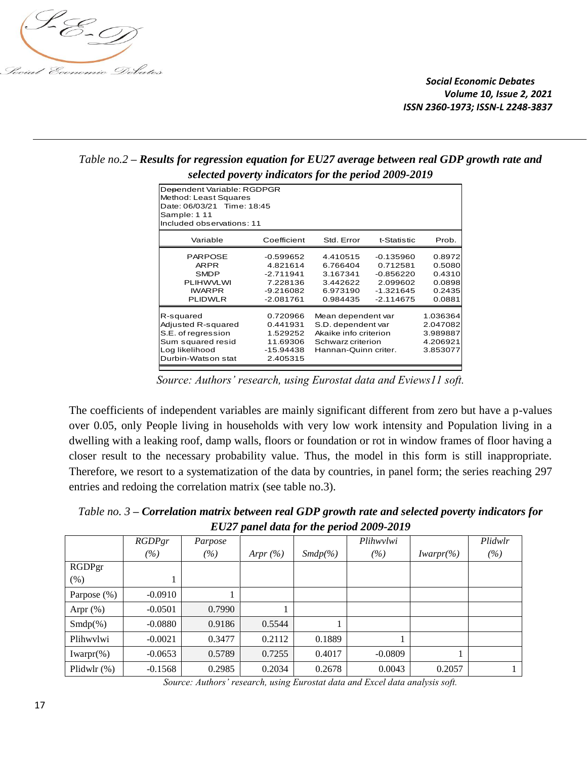

|                                                                                                                                |                                                                                  | $\cdot$<br>≖                                                                                                   |                                                                                  |                                                          |
|--------------------------------------------------------------------------------------------------------------------------------|----------------------------------------------------------------------------------|----------------------------------------------------------------------------------------------------------------|----------------------------------------------------------------------------------|----------------------------------------------------------|
| Dependent Variable: RGDPGR<br>Method: Least Squares<br>Date: 06/03/21 Time: 18:45<br>Sample: 1 11<br>Included observations: 11 |                                                                                  |                                                                                                                |                                                                                  |                                                          |
| Variable                                                                                                                       | Coefficient                                                                      | Std. Error                                                                                                     | t-Statistic                                                                      | Prob.                                                    |
| <b>PARPOSE</b><br><b>ARPR</b><br><b>SMDP</b><br><b>PLIHWVLWI</b><br><b>IWARPR</b><br><b>PLIDWLR</b>                            | $-0.599652$<br>4.821614<br>$-2.711941$<br>7.228136<br>$-9.216082$<br>$-2.081761$ | 4.410515<br>6.766404<br>3.167341<br>3.442622<br>6.973190<br>0.984435                                           | $-0.135960$<br>0.712581<br>$-0.856220$<br>2.099602<br>$-1.321645$<br>$-2.114675$ | 0.8972<br>0.5080<br>0.4310<br>0.0898<br>0.2435<br>0.0881 |
| R-squared<br>Adjusted R-squared<br>S.E. of regression<br>Sum squared resid<br>Log likelihood<br>Durbin-Watson stat             | 0.720966<br>0.441931<br>1.529252<br>11.69306<br>-15.94438<br>2.405315            | Mean dependent var<br>S.D. dependent var<br>Akaike info criterion<br>Schwarz criterion<br>Hannan-Quinn criter. |                                                                                  | 1.036364<br>2.047082<br>3.989887<br>4.206921<br>3.853077 |

*Table no.2 – Results for regression equation for EU27 average between real GDP growth rate and selected poverty indicators for the period 2009-2019*

*Source: Authors' research, using Eurostat data and Eviews11 soft.*

The coefficients of independent variables are mainly significant different from zero but have a p-values over 0.05, only People living in households with very low work intensity and Population living in a dwelling with a leaking roof, damp walls, floors or foundation or rot in window frames of floor having a closer result to the necessary probability value. Thus, the model in this form is still inappropriate. Therefore, we resort to a systematization of the data by countries, in panel form; the series reaching 297 entries and redoing the correlation matrix (see table no.3).

*Table no. 3 – Correlation matrix between real GDP growth rate and selected poverty indicators for EU27 panel data for the period 2009-2019*

|               | RGDPgr    | Parpose |             |            | Plihwylwi |               | Plidwlr |
|---------------|-----------|---------|-------------|------------|-----------|---------------|---------|
|               | (%)       | (%)     | Arpr $(\%)$ | $Smdp(\%)$ | (%)       | $Iwarpr(\% )$ | (%)     |
| RGDPgr        |           |         |             |            |           |               |         |
| $(\%)$        |           |         |             |            |           |               |         |
| Parpose (%)   | $-0.0910$ |         |             |            |           |               |         |
| Arpr $(\%)$   | $-0.0501$ | 0.7990  |             |            |           |               |         |
| $Smdp(\%)$    | $-0.0880$ | 0.9186  | 0.5544      |            |           |               |         |
| Plihwylwi     | $-0.0021$ | 0.3477  | 0.2112      | 0.1889     |           |               |         |
| $Iwarpr(\% )$ | $-0.0653$ | 0.5789  | 0.7255      | 0.4017     | $-0.0809$ |               |         |
| Plidwlr (%)   | $-0.1568$ | 0.2985  | 0.2034      | 0.2678     | 0.0043    | 0.2057        |         |

*Source: Authors' research, using Eurostat data and Excel data analysis soft.*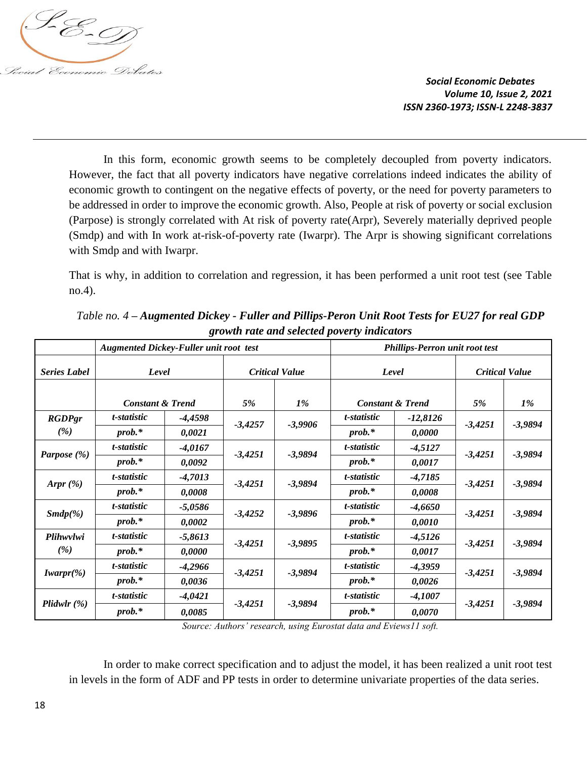

In this form, economic growth seems to be completely decoupled from poverty indicators. However, the fact that all poverty indicators have negative correlations indeed indicates the ability of economic growth to contingent on the negative effects of poverty, or the need for poverty parameters to be addressed in order to improve the economic growth. Also, People at risk of poverty or social exclusion (Parpose) is strongly correlated with At risk of poverty rate(Arpr), Severely materially deprived people (Smdp) and with In work at-risk-of-poverty rate (Iwarpr). The Arpr is showing significant correlations with Smdp and with Iwarpr.

That is why, in addition to correlation and regression, it has been performed a unit root test (see Table no.4).

|                     | <b>Augmented Dickey-Fuller unit root test</b> |           |           |                       |             | Phillips-Perron unit root test |           |                       |
|---------------------|-----------------------------------------------|-----------|-----------|-----------------------|-------------|--------------------------------|-----------|-----------------------|
| <b>Series Label</b> | Level                                         |           |           | <b>Critical Value</b> |             | Level                          |           | <b>Critical Value</b> |
|                     |                                               |           |           |                       |             |                                |           |                       |
|                     | <b>Constant &amp; Trend</b>                   |           | 5%        | 1%                    |             | <b>Constant &amp; Trend</b>    | 5%        | $1\%$                 |
| <b>RGDPgr</b>       | t-statistic                                   | -4,4598   |           |                       | t-statistic | $-12,8126$                     |           |                       |
| (%)                 | $prob.*$                                      | 0,0021    | $-3,4257$ | $-3,9906$             | $prob.*$    | 0,0000                         | $-3,4251$ | $-3,9894$             |
|                     | t-statistic                                   | $-4,0167$ |           |                       | t-statistic | $-4,5127$                      |           |                       |
| Parpose (%)         | $prob.*$                                      | 0,0092    | $-3,4251$ | $-3,9894$             | $prob.*$    | 0,0017                         | $-3,4251$ | $-3,9894$             |
|                     | t-statistic                                   | $-4,7013$ |           |                       | t-statistic | $-4,7185$                      |           |                       |
| Arpr $(\%)$         | $prob.*$                                      | 0,0008    | $-3,4251$ | $-3,9894$             | $prob.*$    | 0,0008                         | $-3,4251$ | $-3,9894$             |
|                     | t-statistic                                   | $-5,0586$ |           |                       | t-statistic | $-4,6650$                      |           |                       |
| $Smdp(\%)$          | $prob.*$                                      | 0,0002    | $-3,4252$ | $-3,9896$             | $prob.*$    | 0,0010                         | $-3,4251$ | $-3,9894$             |
| Plihwvlwi           | t-statistic                                   | $-5,8613$ |           |                       | t-statistic | $-4,5126$                      |           |                       |
| (%)                 | $prob.*$                                      | 0,0000    | $-3,4251$ | $-3,9895$             | $prob.*$    | 0,0017                         | $-3,4251$ | $-3,9894$             |
|                     | t-statistic                                   | $-4,2966$ |           |                       | t-statistic | $-4,3959$                      |           |                       |
| $Iwarpr(\% )$       | $prob.*$                                      | 0,0036    | $-3,4251$ | $-3,9894$             | $prob.*$    | 0,0026                         | $-3,4251$ | $-3,9894$             |
|                     | t-statistic                                   | $-4,0421$ |           |                       | t-statistic | $-4,1007$                      |           |                       |
| Plidwlr(%)          | $prob.*$                                      | 0,0085    | $-3,4251$ | $-3,9894$             | $prob.*$    | 0,0070                         | $-3,4251$ | $-3,9894$             |

*Table no. 4 – Augmented Dickey - Fuller and Pillips-Peron Unit Root Tests for EU27 for real GDP growth rate and selected poverty indicators*

*Source: Authors' research, using Eurostat data and Eviews11 soft.*

In order to make correct specification and to adjust the model, it has been realized a unit root test in levels in the form of ADF and PP tests in order to determine univariate properties of the data series.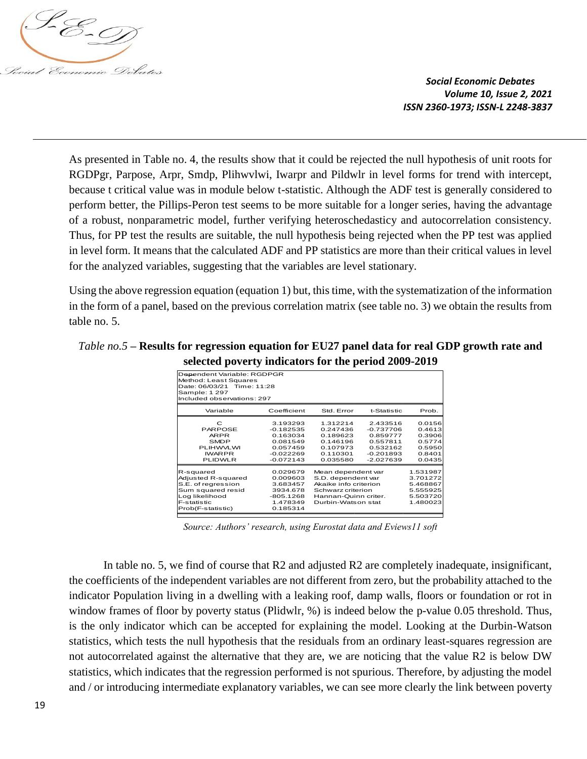

As presented in Table no. 4, the results show that it could be rejected the null hypothesis of unit roots for RGDPgr, Parpose, Arpr, Smdp, Plihwvlwi, Iwarpr and Pildwlr in level forms for trend with intercept, because t critical value was in module below t-statistic. Although the ADF test is generally considered to perform better, the Pillips-Peron test seems to be more suitable for a longer series, having the advantage of a robust, nonparametric model, further verifying heteroschedasticy and autocorrelation consistency. Thus, for PP test the results are suitable, the null hypothesis being rejected when the PP test was applied in level form. It means that the calculated ADF and PP statistics are more than their critical values in level for the analyzed variables, suggesting that the variables are level stationary.

Using the above regression equation (equation 1) but, this time, with the systematization of the information in the form of a panel, based on the previous correlation matrix (see table no. 3) we obtain the results from table no. 5.

# *Table no.5* **– Results for regression equation for EU27 panel data for real GDP growth rate and selected poverty indicators for the period 2009-2019**

|                                                                                                                                  |                                                                                           | л.                                                                                                                                   |                                                                                           |                                                                      |
|----------------------------------------------------------------------------------------------------------------------------------|-------------------------------------------------------------------------------------------|--------------------------------------------------------------------------------------------------------------------------------------|-------------------------------------------------------------------------------------------|----------------------------------------------------------------------|
| Dependent Variable: RGDPGR<br>Method: Least Squares<br>Date: 06/03/21 Time: 11:28<br>Sample: 1 297<br>Included observations: 297 |                                                                                           |                                                                                                                                      |                                                                                           |                                                                      |
| Variable                                                                                                                         | Coefficient                                                                               | Std. Error                                                                                                                           | t-Statistic                                                                               | Prob.                                                                |
| C<br><b>PARPOSE</b><br><b>ARPR</b><br><b>SMDP</b><br><b>PLIHWVLWI</b><br><b>IWARPR</b><br><b>PLIDWLR</b>                         | 3.193293<br>$-0.182535$<br>0.163034<br>0.081549<br>0.057459<br>$-0.022269$<br>$-0.072143$ | 1.312214<br>0.247436<br>0.189623<br>0.146196<br>0.107973<br>0.110301<br>0.035580                                                     | 2.433516<br>$-0.737706$<br>0.859777<br>0.557811<br>0.532162<br>$-0.201893$<br>$-2.027639$ | 0.0156<br>0.4613<br>0.3906<br>0.5774<br>0.5950<br>0.8401<br>0.0435   |
| R-squared<br>Adjusted R-squared<br>S.E. of regression<br>Sum squared resid<br>Log likelihood<br>F-statistic<br>Prob(F-statistic) | 0.029679<br>0.009603<br>3.683457<br>3934.678<br>$-805.1268$<br>1.478349<br>0.185314       | Mean dependent var<br>S.D. dependent var<br>Akaike info criterion<br>Schwarz criterion<br>Hannan-Quinn criter.<br>Durbin-Watson stat |                                                                                           | 1.531987<br>3.701272<br>5.468867<br>5.555925<br>5.503720<br>1.480023 |

*Source: Authors' research, using Eurostat data and Eviews11 soft*

In table no. 5, we find of course that R2 and adjusted R2 are completely inadequate, insignificant, the coefficients of the independent variables are not different from zero, but the probability attached to the indicator Population living in a dwelling with a leaking roof, damp walls, floors or foundation or rot in window frames of floor by poverty status (Plidwlr, %) is indeed below the p-value 0.05 threshold. Thus, is the only indicator which can be accepted for explaining the model. Looking at the Durbin-Watson statistics, which tests the null hypothesis that the residuals from an ordinary least-squares regression are not autocorrelated against the alternative that they are, we are noticing that the value R2 is below DW statistics, which indicates that the regression performed is not spurious. Therefore, by adjusting the model **Explanator (or introduced and the continued intermediate explanatory variables, we can continue the clearly and the link between poverty and the continued and the continued and the continued and the continued and the con**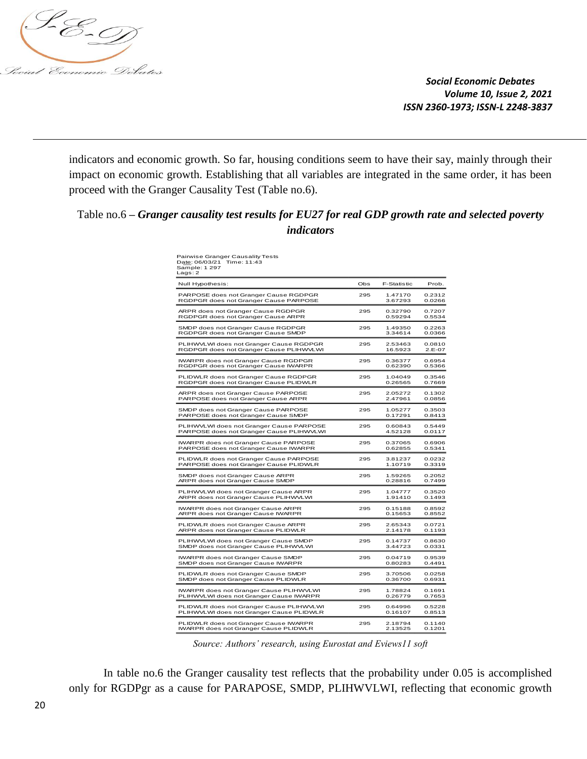

indicators and economic growth. So far, housing conditions seem to have their say, mainly through their impact on economic growth. Establishing that all variables are integrated in the same order, it has been proceed with the Granger Causality Test (Table no.6).

# Table no.6 **–** *Granger causality test results for EU27 for real GDP growth rate and selected poverty indicators*

| Null Hypothesis:                                            | Obs | <b>F-Statistic</b> | Prob.    |
|-------------------------------------------------------------|-----|--------------------|----------|
| PARPOSE does not Granger Cause RGDPGR                       | 295 | 1.47170            | 0.2312   |
| RGDPGR does not Granger Cause PARPOSE                       |     | 3.67293            | 0.0266   |
| ARPR does not Granger Cause RGDPGR                          | 295 | 0.32790            | 0.7207   |
| RGDPGR does not Granger Cause ARPR                          |     | 0.59294            | 0.5534   |
| SMDP does not Granger Cause RGDPGR                          | 295 | 1.49350            | 0.2263   |
| RGDPGR does not Granger Cause SMDP                          |     | 3.34614            | 0.0366   |
| PLIHWVLWI does not Granger Cause RGDPGR                     | 295 | 2.53463            | 0.0810   |
| RGDPGR does not Granger Cause PLIHWVLWI                     |     | 16.5923            | $2.E-07$ |
| IWARPR does not Granger Cause RGDPGR                        | 295 | 0.36377            | 0.6954   |
| RGDPGR does not Granger Cause IWARPR                        |     | 0.62390            | 0.5366   |
| PLIDWLR does not Granger Cause RGDPGR                       | 295 | 1.04049            | 0.3546   |
| RGDPGR does not Granger Cause PLIDWLR                       |     | 0.26565            | 0.7669   |
| ARPR does not Granger Cause PARPOSE                         | 295 | 2.05272            | 0.1302   |
| PARPOSE does not Granger Cause ARPR                         | 295 | 2.47961            | 0.0856   |
| SMDP does not Granger Cause PARPOSE                         |     | 1.05277            | 0.3503   |
| PARPOSE does not Granger Cause SMDP                         | 295 | 0.17291            | 0.8413   |
| PLIHWVLWI does not Granger Cause PARPOSE                    |     | 0.60843            | 0.5449   |
| PARPOSE does not Granger Cause PLIHWVLWI                    | 295 | 4.52128            | 0.0117   |
| IWARPR does not Granger Cause PARPOSE                       |     | 0.37065            | 0.6906   |
| PARPOSE does not Granger Cause IWARPR                       | 295 | 0.62855            | 0.5341   |
| PLIDWLR does not Granger Cause PARPOSE                      |     | 3.81237            | 0.0232   |
| PARPOSE does not Granger Cause PLIDWLR                      | 295 | 1.10719            | 0.3319   |
| SMDP does not Granger Cause ARPR                            |     | 1.59265            | 0.2052   |
| ARPR does not Granger Cause SMDP                            |     | 0.28816            | 0.7499   |
| PLIHWVLWI does not Granger Cause ARPR                       | 295 | 1.04777            | 0.3520   |
| ARPR does not Granger Cause PLIHWVLWI                       |     | 1.91410            | 0.1493   |
| <b>IWARPR does not Granger Cause ARPR</b>                   | 295 | 0.15188            | 0.8592   |
| ARPR does not Granger Cause IWARPR                          |     | 0.15653            | 0.8552   |
| PLIDWLR does not Granger Cause ARPR                         | 295 | 2.65343            | 0.0721   |
| ARPR does not Granger Cause PLIDWLR                         |     | 2.14178            | 0.1193   |
| PLIHWVLWI does not Granger Cause SMDP                       | 295 | 0.14737            | 0.8630   |
| SMDP does not Granger Cause PLIHWVLWI                       |     | 3.44723            | 0.0331   |
| IWARPR does not Granger Cause SMDP                          | 295 | 0.04719            | 0.9539   |
| SMDP does not Granger Cause IWARPR                          |     | 0.80283            | 0.4491   |
| PLIDWLR does not Granger Cause SMDP                         | 295 | 3.70506            | 0.0258   |
| SMDP does not Granger Cause PLIDWLR                         |     | 0.36700            | 0.6931   |
| IWARPR does not Granger Cause PLIHWVLWI                     | 295 | 1.78824            | 0.1691   |
| PLIHWVLWI does not Granger Cause IWARPR                     |     | 0.26779            | 0.7653   |
| PLIDWLR does not Granger Cause PLIHWVLWI                    | 295 | 0.64996            | 0.5228   |
| PLIHWVLWI does not Granger Cause PLIDWLR                    |     | 0.16107            | 0.8513   |
| PLIDWLR does not Granger Cause IWARPR                       | 295 | 2.18794            | 0.1140   |
| <b>IWARPR does not Granger Cause PLIDWLR</b>                |     | 2.13525            | 0.1201   |
| Source: Authors' research, using Eurostat and Eviews11 soft |     |                    |          |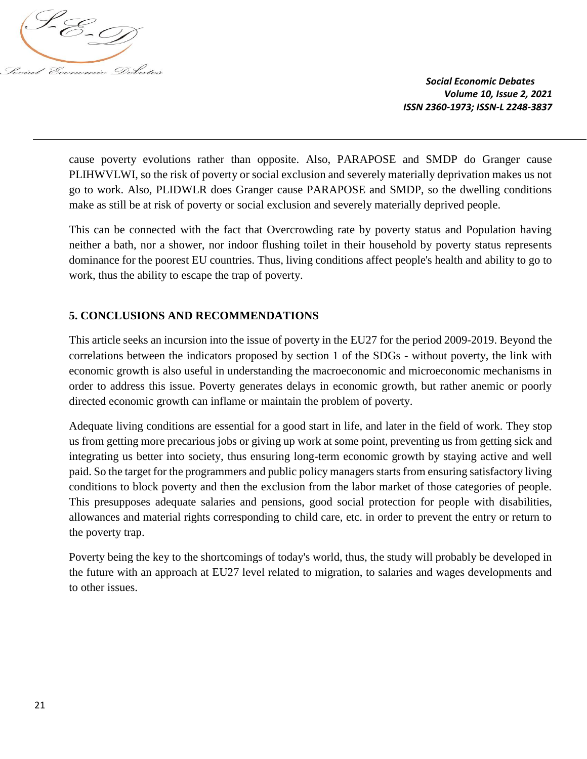

cause poverty evolutions rather than opposite. Also, PARAPOSE and SMDP do Granger cause PLIHWVLWI, so the risk of poverty or social exclusion and severely materially deprivation makes us not go to work. Also, PLIDWLR does Granger cause PARAPOSE and SMDP, so the dwelling conditions make as still be at risk of poverty or social exclusion and severely materially deprived people.

This can be connected with the fact that Overcrowding rate by poverty status and Population having neither a bath, nor a shower, nor indoor flushing toilet in their household by poverty status represents dominance for the poorest EU countries. Thus, living conditions affect people's health and ability to go to work, thus the ability to escape the trap of poverty.

# **5. CONCLUSIONS AND RECOMMENDATIONS**

This article seeks an incursion into the issue of poverty in the EU27 for the period 2009-2019. Beyond the correlations between the indicators proposed by section 1 of the SDGs - without poverty, the link with economic growth is also useful in understanding the macroeconomic and microeconomic mechanisms in order to address this issue. Poverty generates delays in economic growth, but rather anemic or poorly directed economic growth can inflame or maintain the problem of poverty.

Adequate living conditions are essential for a good start in life, and later in the field of work. They stop us from getting more precarious jobs or giving up work at some point, preventing us from getting sick and integrating us better into society, thus ensuring long-term economic growth by staying active and well paid. So the target for the programmers and public policy managers starts from ensuring satisfactory living conditions to block poverty and then the exclusion from the labor market of those categories of people. This presupposes adequate salaries and pensions, good social protection for people with disabilities, allowances and material rights corresponding to child care, etc. in order to prevent the entry or return to the poverty trap.

Poverty being the key to the shortcomings of today's world, thus, the study will probably be developed in the future with an approach at EU27 level related to migration, to salaries and wages developments and to other issues.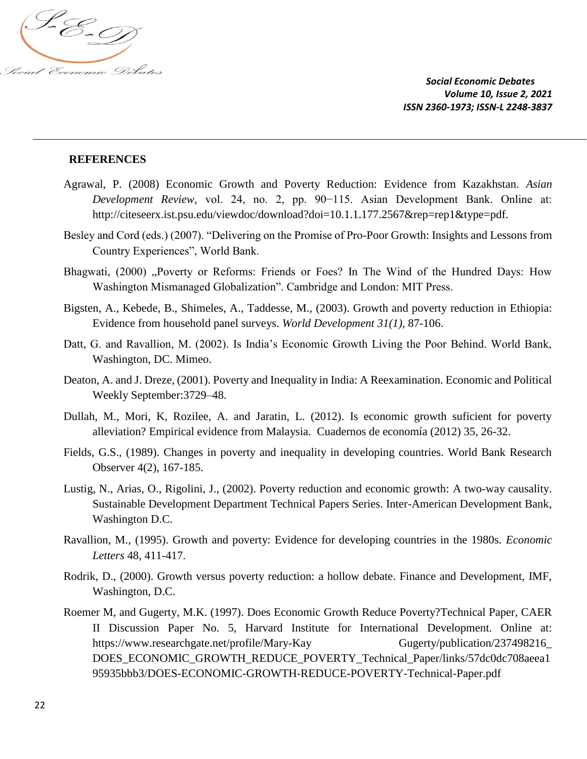

### **REFERENCES**

- Agrawal, P. (2008) Economic Growth and Poverty Reduction: Evidence from Kazakhstan. *Asian Development Review,* vol. 24, no. 2, pp. 90−115. Asian Development Bank. Online at: http://citeseerx.ist.psu.edu/viewdoc/download?doi=10.1.1.177.2567&rep=rep1&type=pdf.
- Besley and Cord (eds.) (2007). "Delivering on the Promise of Pro-Poor Growth: Insights and Lessons from Country Experiences", World Bank.
- Bhagwati, (2000) "Poverty or Reforms: Friends or Foes? In The Wind of the Hundred Days: How Washington Mismanaged Globalization". Cambridge and London: MIT Press.
- Bigsten, A., Kebede, B., Shimeles, A., Taddesse, M., (2003). Growth and poverty reduction in Ethiopia: Evidence from household panel surveys. *World Development 31(1),* 87-106.
- Datt, G. and Ravallion, M. (2002). Is India's Economic Growth Living the Poor Behind. World Bank, Washington, DC. Mimeo.
- Deaton, A. and J. Dreze, (2001). Poverty and Inequality in India: A Reexamination. Economic and Political Weekly September:3729–48.
- Dullah, M., Mori, K, Rozilee, A. and Jaratin, L. (2012). Is economic growth suficient for poverty alleviation? Empirical evidence from Malaysia. Cuadernos de economía (2012) 35, 26-32.
- Fields, G.S., (1989). Changes in poverty and inequality in developing countries. World Bank Research Observer 4(2), 167-185.
- Lustig, N., Arias, O., Rigolini, J., (2002). Poverty reduction and economic growth: A two-way causality. Sustainable Development Department Technical Papers Series. Inter-American Development Bank, Washington D.C.
- Ravallion, M., (1995). Growth and poverty: Evidence for developing countries in the 1980s. *Economic Letters* 48, 411-417.
- Rodrik, D., (2000). Growth versus poverty reduction: a hollow debate. Finance and Development, IMF, Washington, D.C.
- Roemer M, and Gugerty, M.K. (1997). Does Economic Growth Reduce Poverty?Technical Paper, CAER II Discussion Paper No. 5, Harvard Institute for International Development. Online at: https://www.researchgate.net/profile/Mary-Kay Gugerty/publication/237498216\_ DOES\_ECONOMIC\_GROWTH\_REDUCE\_POVERTY\_Technical\_Paper/links/57dc0dc708aeea1 95935bbb3/DOES-ECONOMIC-GROWTH-REDUCE-POVERTY-Technical-Paper.pdf